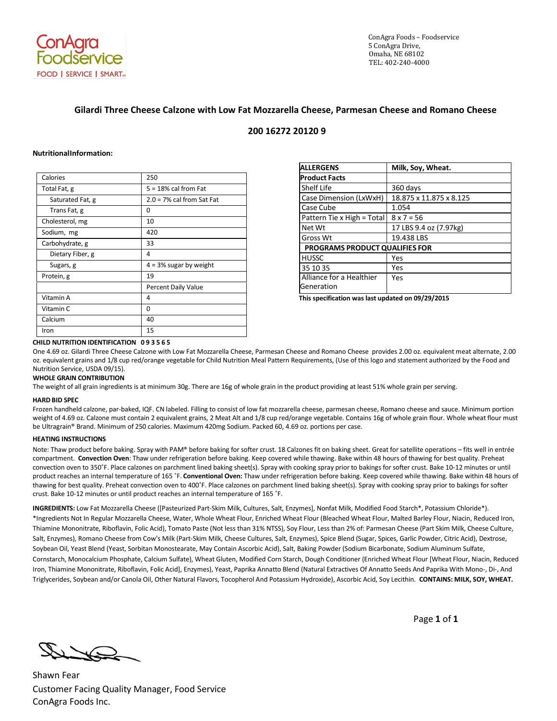

ConAgra Foods – Foodservice 5 ConAgra Drive, Omaha, NE 68102 TEL: 402-240-4000

# **Gilardi Three Cheese Calzone with Low Fat Mozzarella Cheese, Parmesan Cheese and Romano Cheese**

### **200 16272 20120 9**

### **NutritionalInformation:**

| Calories         | 250                          |
|------------------|------------------------------|
| Total Fat, g     | $5 = 18\%$ cal from Fat      |
| Saturated Fat, g | $2.0 = 7\%$ cal from Sat Fat |
| Trans Fat, g     | 0                            |
| Cholesterol, mg  | 10                           |
| Sodium, mg       | 420                          |
| Carbohydrate, g  | 33                           |
| Dietary Fiber, g | 4                            |
| Sugars, g        | $4 = 3%$ sugar by weight     |
| Protein, g       | 19                           |
|                  | Percent Daily Value          |
| Vitamin A        | 4                            |
| Vitamin C        | 0                            |
| Calcium          | 40                           |
| Iron             | 15                           |

| <b>ALLERGENS</b>                       | Milk, Soy, Wheat.       |
|----------------------------------------|-------------------------|
| <b>Product Facts</b>                   |                         |
| Shelf Life                             | 360 days                |
| Case Dimension (LxWxH)                 | 18.875 x 11.875 x 8.125 |
| Case Cube                              | 1.054                   |
| Pattern Tie x High = Total             | $8 \times 7 = 56$       |
| Net Wt                                 | 17 LBS 9.4 oz (7.97kg)  |
| Gross Wt                               | 19.438 LBS              |
| <b>PROGRAMS PRODUCT QUALIFIES FOR</b>  |                         |
| <b>HUSSC</b>                           | Yes                     |
| 35 10 35                               | Yes                     |
| Alliance for a Healthier<br>Generation | Yes                     |

**This specification was last updated on 09/29/2015**

# **CHILD NUTRITION IDENTIFICATION 0 9 3 5 6 5**

One 4.69 oz. Gilardi Three Cheese Calzone with Low Fat Mozzarella Cheese, Parmesan Cheese and Romano Cheese provides 2.00 oz. equivalent meat alternate, 2.00 oz. equivalent grains and 1/8 cup red/orange vegetable for Child Nutrition Meal Pattern Requirements, (Use of this logo and statement authorized by the Food and Nutrition Service, USDA 09/15).

### **WHOLE GRAIN CONTRIBUTION**

The weight of all grain ingredients is at minimum 30g. There are 16g of whole grain in the product providing at least 51% whole grain per serving.

### **HARD BID SPEC**

Frozen handheld calzone, par-baked, IQF. CN labeled. Filling to consist of low fat mozzarella cheese, parmesan cheese, Romano cheese and sauce. Minimum portion weight of 4.69 oz. Calzone must contain 2 equivalent grains, 2 Meat Alt and 1/8 cup red/orange vegetable. Contains 16g of whole grain flour. Whole wheat flour must be Ultragrain® Brand. Minimum of 250 calories. Maximum 420mg Sodium. Packed 60, 4.69 oz. portions per case.

### **HEATING INSTRUCTIONS**

Note: Thaw product before baking. Spray with PAM® before baking for softer crust. 18 Calzones fit on baking sheet. Great for satellite operations – fits well in entrée compartment. **Convection Oven**: Thaw under refrigeration before baking. Keep covered while thawing. Bake within 48 hours of thawing for best quality. Preheat convection oven to 350˚F. Place calzones on parchment lined baking sheet(s). Spray with cooking spray prior to bakings for softer crust. Bake 10-12 minutes or until product reaches an internal temperature of 165 ˚F. **Conventional Oven:** Thaw under refrigeration before baking. Keep covered while thawing. Bake within 48 hours of thawing for best quality. Preheat convection oven to 400˚F. Place calzones on parchment lined baking sheet(s). Spray with cooking spray prior to bakings for softer crust. Bake 10-12 minutes or until product reaches an internal temperature of 165 ˚F.

**INGREDIENTS:** Low Fat Mozzarella Cheese ([Pasteurized Part-Skim Milk, Cultures, Salt, Enzymes], Nonfat Milk, Modified Food Starch\*, Potassium Chloride\*). \*Ingredients Not In Regular Mozzarella Cheese, Water, Whole Wheat Flour, Enriched Wheat Flour (Bleached Wheat Flour, Malted Barley Flour, Niacin, Reduced Iron, Thiamine Mononitrate, Riboflavin, Folic Acid), Tomato Paste (Not less than 31% NTSS), Soy Flour, Less than 2% of: Parmesan Cheese (Part Skim Milk, Cheese Culture, Salt, Enzymes), Romano Cheese from Cow's Milk (Part-Skim Milk, Cheese Cultures, Salt, Enzymes), Spice Blend (Sugar, Spices, Garlic Powder, Citric Acid), Dextrose, Soybean Oil, Yeast Blend (Yeast, Sorbitan Monostearate, May Contain Ascorbic Acid), Salt, Baking Powder (Sodium Bicarbonate, Sodium Aluminum Sulfate, Cornstarch, Monocalcium Phosphate, Calcium Sulfate), Wheat Gluten, Modified Corn Starch, Dough Conditioner (Enriched Wheat Flour [Wheat Flour, Niacin, Reduced Iron, Thiamine Mononitrate, Riboflavin, Folic Acid], Enzymes), Yeast, Paprika Annatto Blend (Natural Extractives Of Annatto Seeds And Paprika With Mono-, Di-, And Triglycerides, Soybean and/or Canola Oil, Other Natural Flavors, Tocopherol And Potassium Hydroxide), Ascorbic Acid, Soy Lecithin. **CONTAINS: MILK, SOY, WHEAT.**

Page **1** of **1**

Shawn Fear Customer Facing Quality Manager, Food Service ConAgra Foods Inc.